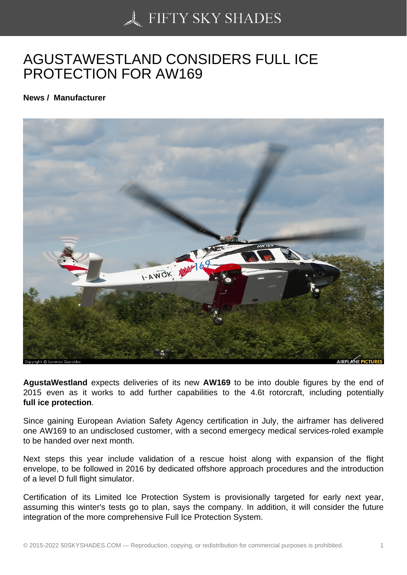## [AGUSTAWESTLAND C](https://50skyshades.com)ONSIDERS FULL ICE PROTECTION FOR AW169

News / Manufacturer

AgustaWestland expects deliveries of its new AW169 to be into double figures by the end of 2015 even as it works to add further capabilities to the 4.6t rotorcraft, including potentially full ice protection .

Since gaining European Aviation Safety Agency certification in July, the airframer has delivered one AW169 to an undisclosed customer, with a second emergecy medical services-roled example to be handed over next month.

Next steps this year include validation of a rescue hoist along with expansion of the flight envelope, to be followed in 2016 by dedicated offshore approach procedures and the introduction of a level D full flight simulator.

Certification of its Limited Ice Protection System is provisionally targeted for early next year, assuming this winter's tests go to plan, says the company. In addition, it will consider the future integration of the more comprehensive Full Ice Protection System.